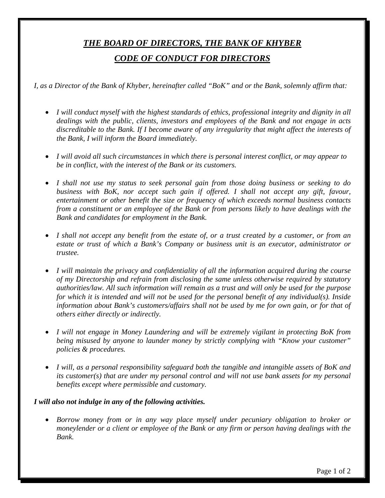## *THE BOARD OF DIRECTORS, THE BANK OF KHYBER CODE OF CONDUCT FOR DIRECTORS*

*I, as a Director of the Bank of Khyber, hereinafter called "BoK" and or the Bank, solemnly affirm that:* 

- *I will conduct myself with the highest standards of ethics, professional integrity and dignity in all dealings with the public, clients, investors and employees of the Bank and not engage in acts discreditable to the Bank. If I become aware of any irregularity that might affect the interests of the Bank, I will inform the Board immediately.*
- *I will avoid all such circumstances in which there is personal interest conflict, or may appear to be in conflict, with the interest of the Bank or its customers.*
- *I shall not use my status to seek personal gain from those doing business or seeking to do business with BoK, nor accept such gain if offered. I shall not accept any gift, favour, entertainment or other benefit the size or frequency of which exceeds normal business contacts from a constituent or an employee of the Bank or from persons likely to have dealings with the Bank and candidates for employment in the Bank.*
- *I shall not accept any benefit from the estate of, or a trust created by a customer, or from an estate or trust of which a Bank's Company or business unit is an executor, administrator or trustee.*
- *I will maintain the privacy and confidentiality of all the information acquired during the course of my Directorship and refrain from disclosing the same unless otherwise required by statutory authorities/law. All such information will remain as a trust and will only be used for the purpose for which it is intended and will not be used for the personal benefit of any individual(s). Inside information about Bank's customers/affairs shall not be used by me for own gain, or for that of others either directly or indirectly.*
- *I will not engage in Money Laundering and will be extremely vigilant in protecting BoK from being misused by anyone to launder money by strictly complying with "Know your customer" policies & procedures.*
- *I will, as a personal responsibility safeguard both the tangible and intangible assets of BoK and its customer(s) that are under my personal control and will not use bank assets for my personal benefits except where permissible and customary.*

## *I will also not indulge in any of the following activities.*

• *Borrow money from or in any way place myself under pecuniary obligation to broker or moneylender or a client or employee of the Bank or any firm or person having dealings with the Bank.*